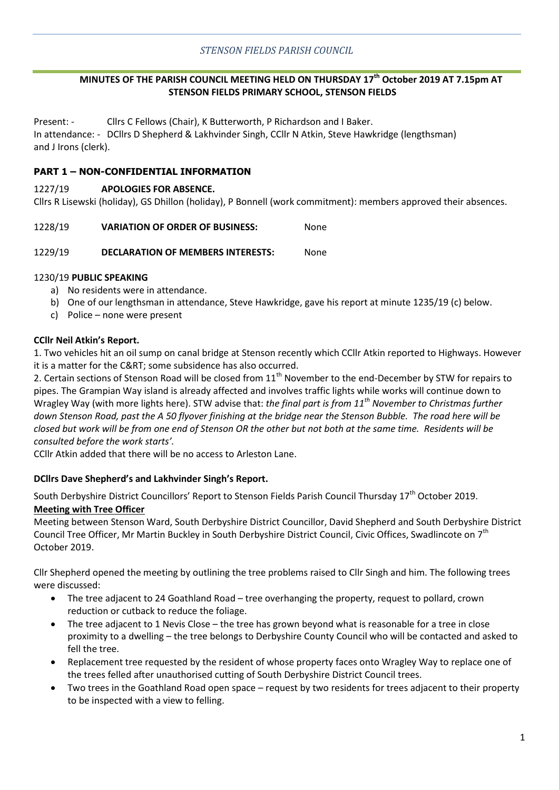## **MINUTES OF THE PARISH COUNCIL MEETING HELD ON THURSDAY 17th October 2019 AT 7.15pm AT STENSON FIELDS PRIMARY SCHOOL, STENSON FIELDS**

Present: - Cllrs C Fellows (Chair), K Butterworth, P Richardson and I Baker. In attendance: - DCllrs D Shepherd & Lakhvinder Singh, CCllr N Atkin, Steve Hawkridge (lengthsman) and J Irons (clerk).

## **PART 1 – NON-CONFIDENTIAL INFORMATION**

#### 1227/19 **APOLOGIES FOR ABSENCE.**

Cllrs R Lisewski (holiday), GS Dhillon (holiday), P Bonnell (work commitment): members approved their absences.

#### 1228/19 **VARIATION OF ORDER OF BUSINESS:** None

#### 1229/19 **DECLARATION OF MEMBERS INTERESTS:** None

## 1230/19 **PUBLIC SPEAKING**

- a) No residents were in attendance.
- b) One of our lengthsman in attendance, Steve Hawkridge, gave his report at minute 1235/19 (c) below.
- c) Police none were present

#### **CCllr Neil Atkin's Report.**

1. Two vehicles hit an oil sump on canal bridge at Stenson recently which CCllr Atkin reported to Highways. However it is a matter for the C&RT; some subsidence has also occurred.

2. Certain sections of Stenson Road will be closed from  $11<sup>th</sup>$  November to the end-December by STW for repairs to pipes. The Grampian Way island is already affected and involves traffic lights while works will continue down to Wragley Way (with more lights here). STW advise that: *the final part is from 11th November to Christmas further down Stenson Road, past the A 50 flyover finishing at the bridge near the Stenson Bubble. The road here will be closed but work will be from one end of Stenson OR the other but not both at the same time. Residents will be consulted before the work starts'.* 

CCllr Atkin added that there will be no access to Arleston Lane.

## **DCllrs Dave Shepherd's and Lakhvinder Singh's Report.**

South Derbyshire District Councillors' Report to Stenson Fields Parish Council Thursday 17<sup>th</sup> October 2019. **Meeting with Tree Officer** 

Meeting between Stenson Ward, South Derbyshire District Councillor, David Shepherd and South Derbyshire District Council Tree Officer, Mr Martin Buckley in South Derbyshire District Council, Civic Offices, Swadlincote on 7th October 2019.

Cllr Shepherd opened the meeting by outlining the tree problems raised to Cllr Singh and him. The following trees were discussed:

- The tree adjacent to 24 Goathland Road tree overhanging the property, request to pollard, crown reduction or cutback to reduce the foliage.
- The tree adjacent to 1 Nevis Close the tree has grown beyond what is reasonable for a tree in close proximity to a dwelling – the tree belongs to Derbyshire County Council who will be contacted and asked to fell the tree.
- Replacement tree requested by the resident of whose property faces onto Wragley Way to replace one of the trees felled after unauthorised cutting of South Derbyshire District Council trees.
- Two trees in the Goathland Road open space request by two residents for trees adjacent to their property to be inspected with a view to felling.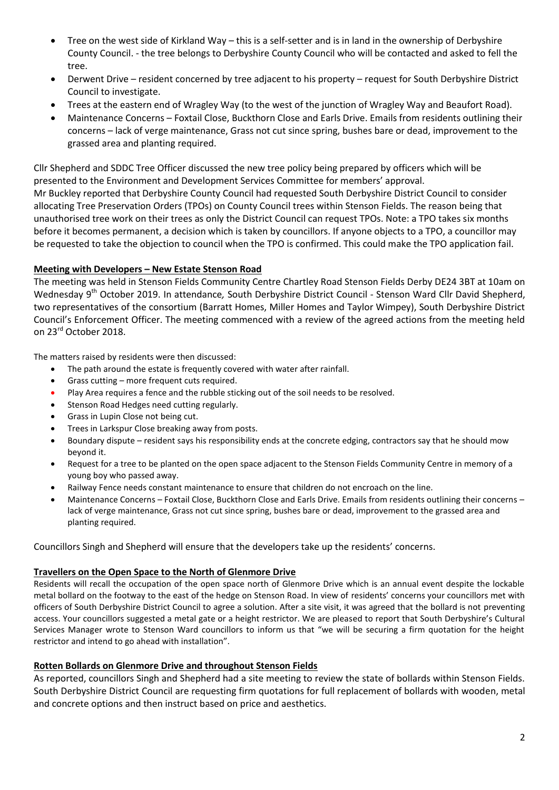- Tree on the west side of Kirkland Way this is a self-setter and is in land in the ownership of Derbyshire County Council. - the tree belongs to Derbyshire County Council who will be contacted and asked to fell the tree.
- Derwent Drive resident concerned by tree adjacent to his property request for South Derbyshire District Council to investigate.
- Trees at the eastern end of Wragley Way (to the west of the junction of Wragley Way and Beaufort Road).
- Maintenance Concerns Foxtail Close, Buckthorn Close and Earls Drive. Emails from residents outlining their concerns – lack of verge maintenance, Grass not cut since spring, bushes bare or dead, improvement to the grassed area and planting required.

Cllr Shepherd and SDDC Tree Officer discussed the new tree policy being prepared by officers which will be presented to the Environment and Development Services Committee for members' approval.

Mr Buckley reported that Derbyshire County Council had requested South Derbyshire District Council to consider allocating Tree Preservation Orders (TPOs) on County Council trees within Stenson Fields. The reason being that unauthorised tree work on their trees as only the District Council can request TPOs. Note: a TPO takes six months before it becomes permanent, a decision which is taken by councillors. If anyone objects to a TPO, a councillor may be requested to take the objection to council when the TPO is confirmed. This could make the TPO application fail.

## **Meeting with Developers – New Estate Stenson Road**

The meeting was held in Stenson Fields Community Centre Chartley Road Stenson Fields Derby DE24 3BT at 10am on Wednesday 9th October 2019. In attendance*,* South Derbyshire District Council - Stenson Ward Cllr David Shepherd, two representatives of the consortium (Barratt Homes, Miller Homes and Taylor Wimpey), South Derbyshire District Council's Enforcement Officer. The meeting commenced with a review of the agreed actions from the meeting held on 23<sup>rd</sup> October 2018.

The matters raised by residents were then discussed:

- The path around the estate is frequently covered with water after rainfall.
- Grass cutting more frequent cuts required.
- Play Area requires a fence and the rubble sticking out of the soil needs to be resolved.
- Stenson Road Hedges need cutting regularly.
- Grass in Lupin Close not being cut.
- Trees in Larkspur Close breaking away from posts.
- Boundary dispute resident says his responsibility ends at the concrete edging, contractors say that he should mow beyond it.
- Request for a tree to be planted on the open space adjacent to the Stenson Fields Community Centre in memory of a young boy who passed away.
- Railway Fence needs constant maintenance to ensure that children do not encroach on the line.
- Maintenance Concerns Foxtail Close, Buckthorn Close and Earls Drive. Emails from residents outlining their concerns lack of verge maintenance, Grass not cut since spring, bushes bare or dead, improvement to the grassed area and planting required.

Councillors Singh and Shepherd will ensure that the developers take up the residents' concerns.

## **Travellers on the Open Space to the North of Glenmore Drive**

Residents will recall the occupation of the open space north of Glenmore Drive which is an annual event despite the lockable metal bollard on the footway to the east of the hedge on Stenson Road. In view of residents' concerns your councillors met with officers of South Derbyshire District Council to agree a solution. After a site visit, it was agreed that the bollard is not preventing access. Your councillors suggested a metal gate or a height restrictor. We are pleased to report that South Derbyshire's Cultural Services Manager wrote to Stenson Ward councillors to inform us that "we will be securing a firm quotation for the height restrictor and intend to go ahead with installation".

## **Rotten Bollards on Glenmore Drive and throughout Stenson Fields**

As reported, councillors Singh and Shepherd had a site meeting to review the state of bollards within Stenson Fields. South Derbyshire District Council are requesting firm quotations for full replacement of bollards with wooden, metal and concrete options and then instruct based on price and aesthetics.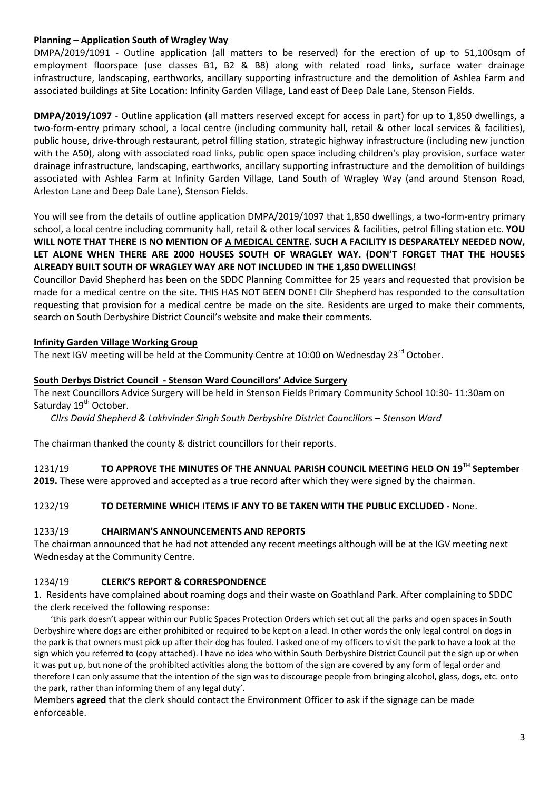## **Planning – Application South of Wragley Way**

DMPA/2019/1091 - Outline application (all matters to be reserved) for the erection of up to 51,100sqm of employment floorspace (use classes B1, B2 & B8) along with related road links, surface water drainage infrastructure, landscaping, earthworks, ancillary supporting infrastructure and the demolition of Ashlea Farm and associated buildings at Site Location: Infinity Garden Village, Land east of Deep Dale Lane, Stenson Fields.

**DMPA/2019/1097** - Outline application (all matters reserved except for access in part) for up to 1,850 dwellings, a two-form-entry primary school, a local centre (including community hall, retail & other local services & facilities), public house, drive-through restaurant, petrol filling station, strategic highway infrastructure (including new junction with the A50), along with associated road links, public open space including children's play provision, surface water drainage infrastructure, landscaping, earthworks, ancillary supporting infrastructure and the demolition of buildings associated with Ashlea Farm at Infinity Garden Village, Land South of Wragley Way (and around Stenson Road, Arleston Lane and Deep Dale Lane), Stenson Fields.

You will see from the details of outline application DMPA/2019/1097 that 1,850 dwellings, a two-form-entry primary school, a local centre including community hall, retail & other local services & facilities, petrol filling station etc. **YOU WILL NOTE THAT THERE IS NO MENTION OF A MEDICAL CENTRE. SUCH A FACILITY IS DESPARATELY NEEDED NOW, LET ALONE WHEN THERE ARE 2000 HOUSES SOUTH OF WRAGLEY WAY. (DON'T FORGET THAT THE HOUSES ALREADY BUILT SOUTH OF WRAGLEY WAY ARE NOT INCLUDED IN THE 1,850 DWELLINGS!**

Councillor David Shepherd has been on the SDDC Planning Committee for 25 years and requested that provision be made for a medical centre on the site. THIS HAS NOT BEEN DONE! Cllr Shepherd has responded to the consultation requesting that provision for a medical centre be made on the site. Residents are urged to make their comments, search on South Derbyshire District Council's website and make their comments.

## **Infinity Garden Village Working Group**

The next IGV meeting will be held at the Community Centre at 10:00 on Wednesday 23<sup>rd</sup> October.

#### **South Derbys District Council - Stenson Ward Councillors' Advice Surgery**

The next Councillors Advice Surgery will be held in Stenson Fields Primary Community School 10:30- 11:30am on Saturday 19<sup>th</sup> October.

*Cllrs David Shepherd & Lakhvinder Singh South Derbyshire District Councillors - Stenson Ward* 

The chairman thanked the county & district councillors for their reports.

1231/19 **TO APPROVE THE MINUTES OF THE ANNUAL PARISH COUNCIL MEETING HELD ON 19TH September** 

**2019.** These were approved and accepted as a true record after which they were signed by the chairman.

## 1232/19 **TO DETERMINE WHICH ITEMS IF ANY TO BE TAKEN WITH THE PUBLIC EXCLUDED -** None.

#### 1233/19 **CHAIRMAN'S ANNOUNCEMENTS AND REPORTS**

The chairman announced that he had not attended any recent meetings although will be at the IGV meeting next Wednesday at the Community Centre.

#### 1234/19 **CLERK'S REPORT & CORRESPONDENCE**

1. Residents have complained about roaming dogs and their waste on Goathland Park. After complaining to SDDC the clerk received the following response:

'this park doesn't appear within our Public Spaces Protection Orders which set out all the parks and open spaces in South Derbyshire where dogs are either prohibited or required to be kept on a lead. In other words the only legal control on dogs in the park is that owners must pick up after their dog has fouled. I asked one of my officers to visit the park to have a look at the sign which you referred to (copy attached). I have no idea who within South Derbyshire District Council put the sign up or when it was put up, but none of the prohibited activities along the bottom of the sign are covered by any form of legal order and therefore I can only assume that the intention of the sign was to discourage people from bringing alcohol, glass, dogs, etc. onto the park, rather than informing them of any legal duty'.

Members **agreed** that the clerk should contact the Environment Officer to ask if the signage can be made enforceable.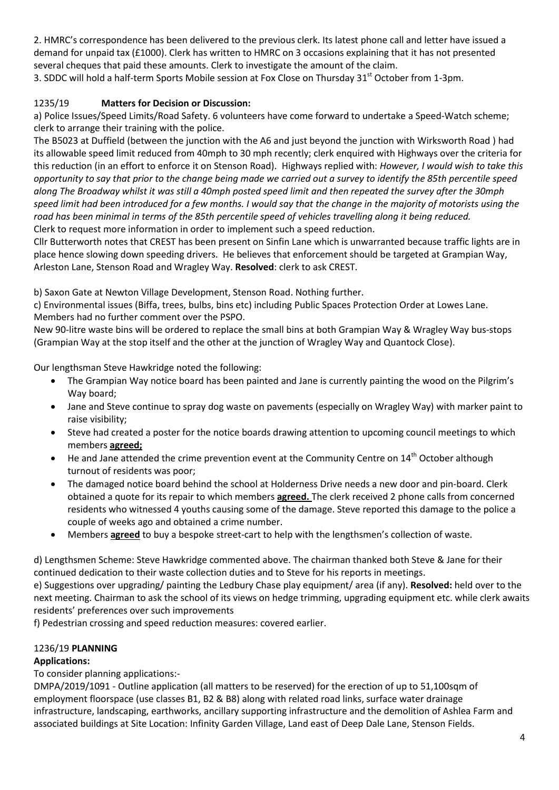2. HMRC's correspondence has been delivered to the previous clerk. Its latest phone call and letter have issued a demand for unpaid tax (£1000). Clerk has written to HMRC on 3 occasions explaining that it has not presented several cheques that paid these amounts. Clerk to investigate the amount of the claim.

3. SDDC will hold a half-term Sports Mobile session at Fox Close on Thursday 31<sup>st</sup> October from 1-3pm.

## 1235/19 **Matters for Decision or Discussion:**

a) Police Issues/Speed Limits/Road Safety. 6 volunteers have come forward to undertake a Speed-Watch scheme; clerk to arrange their training with the police.

The B5023 at Duffield (between the junction with the A6 and just beyond the junction with Wirksworth Road ) had its allowable speed limit reduced from 40mph to 30 mph recently; clerk enquired with Highways over the criteria for this reduction (in an effort to enforce it on Stenson Road). Highways replied with: *However, I would wish to take this opportunity to say that prior to the change being made we carried out a survey to identify the 85th percentile speed along The Broadway whilst it was still a 40mph posted speed limit and then repeated the survey after the 30mph speed limit had been introduced for a few months. I would say that the change in the majority of motorists using the road has been minimal in terms of the 85th percentile speed of vehicles travelling along it being reduced.* Clerk to request more information in order to implement such a speed reduction.

Cllr Butterworth notes that CREST has been present on Sinfin Lane which is unwarranted because traffic lights are in place hence slowing down speeding drivers. He believes that enforcement should be targeted at Grampian Way, Arleston Lane, Stenson Road and Wragley Way. **Resolved**: clerk to ask CREST.

b) Saxon Gate at Newton Village Development, Stenson Road. Nothing further.

c) Environmental issues (Biffa, trees, bulbs, bins etc) including Public Spaces Protection Order at Lowes Lane. Members had no further comment over the PSPO.

New 90-litre waste bins will be ordered to replace the small bins at both Grampian Way & Wragley Way bus-stops (Grampian Way at the stop itself and the other at the junction of Wragley Way and Quantock Close).

Our lengthsman Steve Hawkridge noted the following:

- The Grampian Way notice board has been painted and Jane is currently painting the wood on the Pilgrim's Way board;
- Jane and Steve continue to spray dog waste on pavements (especially on Wragley Way) with marker paint to raise visibility;
- Steve had created a poster for the notice boards drawing attention to upcoming council meetings to which members **agreed;**
- $\bullet$  He and Jane attended the crime prevention event at the Community Centre on 14<sup>th</sup> October although turnout of residents was poor;
- The damaged notice board behind the school at Holderness Drive needs a new door and pin-board. Clerk obtained a quote for its repair to which members **agreed.** The clerk received 2 phone calls from concerned residents who witnessed 4 youths causing some of the damage. Steve reported this damage to the police a couple of weeks ago and obtained a crime number.
- Members **agreed** to buy a bespoke street-cart to help with the lengthsmen's collection of waste.

d) Lengthsmen Scheme: Steve Hawkridge commented above. The chairman thanked both Steve & Jane for their continued dedication to their waste collection duties and to Steve for his reports in meetings.

e) Suggestions over upgrading/ painting the Ledbury Chase play equipment/ area (if any). **Resolved:** held over to the next meeting. Chairman to ask the school of its views on hedge trimming, upgrading equipment etc. while clerk awaits residents' preferences over such improvements

f) Pedestrian crossing and speed reduction measures: covered earlier.

## 1236/19 **PLANNING**

## **Applications:**

To consider planning applications:-

DMPA/2019/1091 - Outline application (all matters to be reserved) for the erection of up to 51,100sqm of employment floorspace (use classes B1, B2 & B8) along with related road links, surface water drainage infrastructure, landscaping, earthworks, ancillary supporting infrastructure and the demolition of Ashlea Farm and associated buildings at Site Location: Infinity Garden Village, Land east of Deep Dale Lane, Stenson Fields.